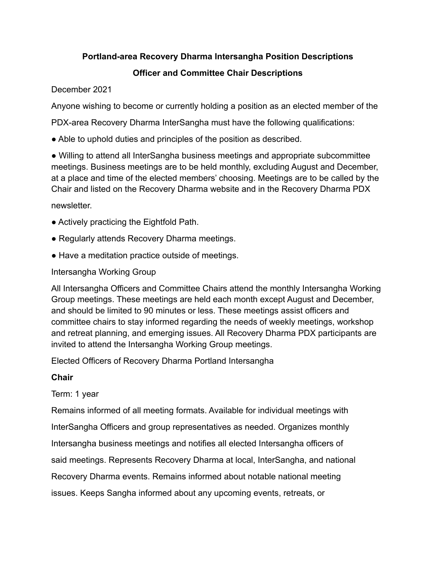### **Portland-area Recovery Dharma Intersangha Position Descriptions**

# **Officer and Committee Chair Descriptions**

December 2021

Anyone wishing to become or currently holding a position as an elected member of the

PDX-area Recovery Dharma InterSangha must have the following qualifications:

• Able to uphold duties and principles of the position as described.

● Willing to attend all InterSangha business meetings and appropriate subcommittee meetings. Business meetings are to be held monthly, excluding August and December, at a place and time of the elected members' choosing. Meetings are to be called by the Chair and listed on the Recovery Dharma website and in the Recovery Dharma PDX

newsletter.

- Actively practicing the Eightfold Path.
- Regularly attends Recovery Dharma meetings.
- Have a meditation practice outside of meetings.

# Intersangha Working Group

All Intersangha Officers and Committee Chairs attend the monthly Intersangha Working Group meetings. These meetings are held each month except August and December, and should be limited to 90 minutes or less. These meetings assist officers and committee chairs to stay informed regarding the needs of weekly meetings, workshop and retreat planning, and emerging issues. All Recovery Dharma PDX participants are invited to attend the Intersangha Working Group meetings.

Elected Officers of Recovery Dharma Portland Intersangha

# **Chair**

# Term: 1 year

Remains informed of all meeting formats. Available for individual meetings with InterSangha Officers and group representatives as needed. Organizes monthly Intersangha business meetings and notifies all elected Intersangha officers of said meetings. Represents Recovery Dharma at local, InterSangha, and national Recovery Dharma events. Remains informed about notable national meeting issues. Keeps Sangha informed about any upcoming events, retreats, or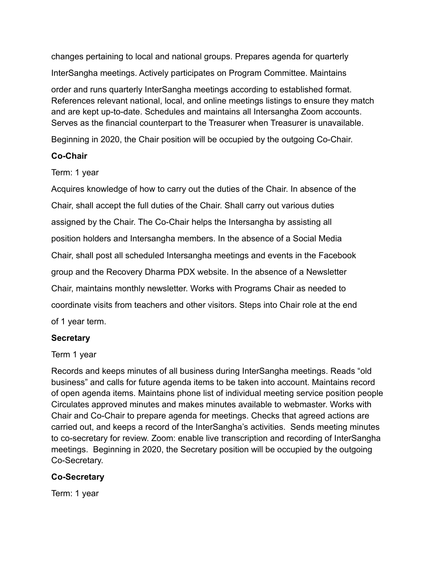changes pertaining to local and national groups. Prepares agenda for quarterly InterSangha meetings. Actively participates on Program Committee. Maintains order and runs quarterly InterSangha meetings according to established format. References relevant national, local, and online meetings listings to ensure they match and are kept up-to-date. Schedules and maintains all Intersangha Zoom accounts. Serves as the financial counterpart to the Treasurer when Treasurer is unavailable.

Beginning in 2020, the Chair position will be occupied by the outgoing Co-Chair.

### **Co-Chair**

Term: 1 year

Acquires knowledge of how to carry out the duties of the Chair. In absence of the Chair, shall accept the full duties of the Chair. Shall carry out various duties assigned by the Chair. The Co-Chair helps the Intersangha by assisting all position holders and Intersangha members. In the absence of a Social Media Chair, shall post all scheduled Intersangha meetings and events in the Facebook group and the Recovery Dharma PDX website. In the absence of a Newsletter Chair, maintains monthly newsletter. Works with Programs Chair as needed to coordinate visits from teachers and other visitors. Steps into Chair role at the end of 1 year term.

### **Secretary**

Term 1 year

Records and keeps minutes of all business during InterSangha meetings. Reads "old business" and calls for future agenda items to be taken into account. Maintains record of open agenda items. Maintains phone list of individual meeting service position people Circulates approved minutes and makes minutes available to webmaster. Works with Chair and Co-Chair to prepare agenda for meetings. Checks that agreed actions are carried out, and keeps a record of the InterSangha's activities. Sends meeting minutes to co-secretary for review. Zoom: enable live transcription and recording of InterSangha meetings. Beginning in 2020, the Secretary position will be occupied by the outgoing Co-Secretary.

# **Co-Secretary**

Term: 1 year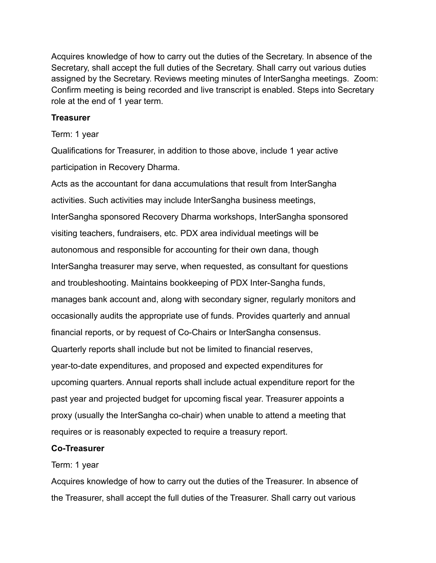Acquires knowledge of how to carry out the duties of the Secretary. In absence of the Secretary, shall accept the full duties of the Secretary. Shall carry out various duties assigned by the Secretary. Reviews meeting minutes of InterSangha meetings. Zoom: Confirm meeting is being recorded and live transcript is enabled. Steps into Secretary role at the end of 1 year term.

#### **Treasurer**

#### Term: 1 year

Qualifications for Treasurer, in addition to those above, include 1 year active participation in Recovery Dharma.

Acts as the accountant for dana accumulations that result from InterSangha activities. Such activities may include InterSangha business meetings, InterSangha sponsored Recovery Dharma workshops, InterSangha sponsored visiting teachers, fundraisers, etc. PDX area individual meetings will be autonomous and responsible for accounting for their own dana, though InterSangha treasurer may serve, when requested, as consultant for questions and troubleshooting. Maintains bookkeeping of PDX Inter-Sangha funds, manages bank account and, along with secondary signer, regularly monitors and occasionally audits the appropriate use of funds. Provides quarterly and annual financial reports, or by request of Co-Chairs or InterSangha consensus. Quarterly reports shall include but not be limited to financial reserves, year-to-date expenditures, and proposed and expected expenditures for upcoming quarters. Annual reports shall include actual expenditure report for the past year and projected budget for upcoming fiscal year. Treasurer appoints a proxy (usually the InterSangha co-chair) when unable to attend a meeting that requires or is reasonably expected to require a treasury report.

#### **Co-Treasurer**

#### Term: 1 year

Acquires knowledge of how to carry out the duties of the Treasurer. In absence of the Treasurer, shall accept the full duties of the Treasurer. Shall carry out various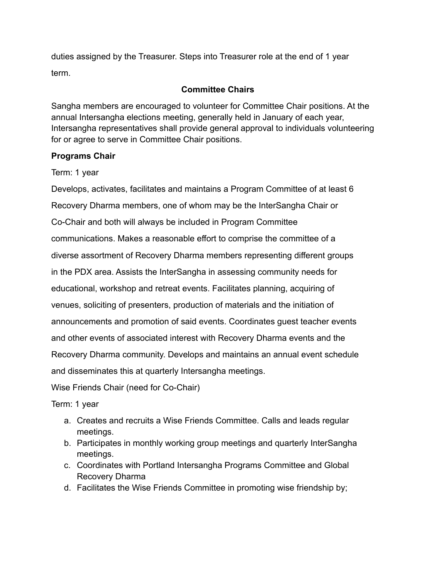duties assigned by the Treasurer. Steps into Treasurer role at the end of 1 year term.

### **Committee Chairs**

Sangha members are encouraged to volunteer for Committee Chair positions. At the annual Intersangha elections meeting, generally held in January of each year, Intersangha representatives shall provide general approval to individuals volunteering for or agree to serve in Committee Chair positions.

#### **Programs Chair**

Term: 1 year

Develops, activates, facilitates and maintains a Program Committee of at least 6 Recovery Dharma members, one of whom may be the InterSangha Chair or Co-Chair and both will always be included in Program Committee communications. Makes a reasonable effort to comprise the committee of a diverse assortment of Recovery Dharma members representing different groups in the PDX area. Assists the InterSangha in assessing community needs for educational, workshop and retreat events. Facilitates planning, acquiring of venues, soliciting of presenters, production of materials and the initiation of announcements and promotion of said events. Coordinates guest teacher events and other events of associated interest with Recovery Dharma events and the Recovery Dharma community. Develops and maintains an annual event schedule and disseminates this at quarterly Intersangha meetings.

Wise Friends Chair (need for Co-Chair)

Term: 1 year

- a. Creates and recruits a Wise Friends Committee. Calls and leads regular meetings.
- b. Participates in monthly working group meetings and quarterly InterSangha meetings.
- c. Coordinates with Portland Intersangha Programs Committee and Global Recovery Dharma
- d. Facilitates the Wise Friends Committee in promoting wise friendship by;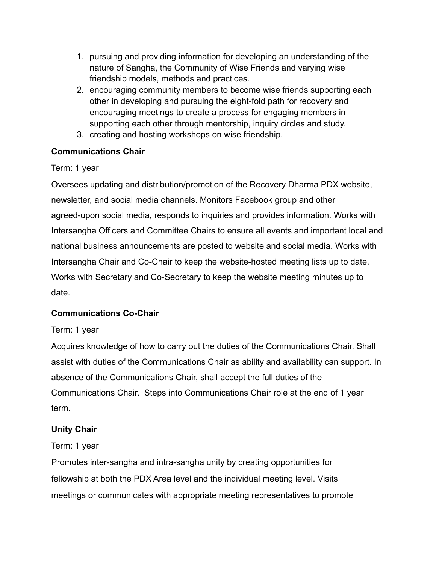- 1. pursuing and providing information for developing an understanding of the nature of Sangha, the Community of Wise Friends and varying wise friendship models, methods and practices.
- 2. encouraging community members to become wise friends supporting each other in developing and pursuing the eight-fold path for recovery and encouraging meetings to create a process for engaging members in supporting each other through mentorship, inquiry circles and study.
- 3. creating and hosting workshops on wise friendship.

# **Communications Chair**

Term: 1 year

Oversees updating and distribution/promotion of the Recovery Dharma PDX website, newsletter, and social media channels. Monitors Facebook group and other agreed-upon social media, responds to inquiries and provides information. Works with Intersangha Officers and Committee Chairs to ensure all events and important local and national business announcements are posted to website and social media. Works with Intersangha Chair and Co-Chair to keep the website-hosted meeting lists up to date. Works with Secretary and Co-Secretary to keep the website meeting minutes up to date.

# **Communications Co-Chair**

# Term: 1 year

Acquires knowledge of how to carry out the duties of the Communications Chair. Shall assist with duties of the Communications Chair as ability and availability can support. In absence of the Communications Chair, shall accept the full duties of the Communications Chair. Steps into Communications Chair role at the end of 1 year term.

# **Unity Chair**

# Term: 1 year

Promotes inter-sangha and intra-sangha unity by creating opportunities for fellowship at both the PDX Area level and the individual meeting level. Visits meetings or communicates with appropriate meeting representatives to promote